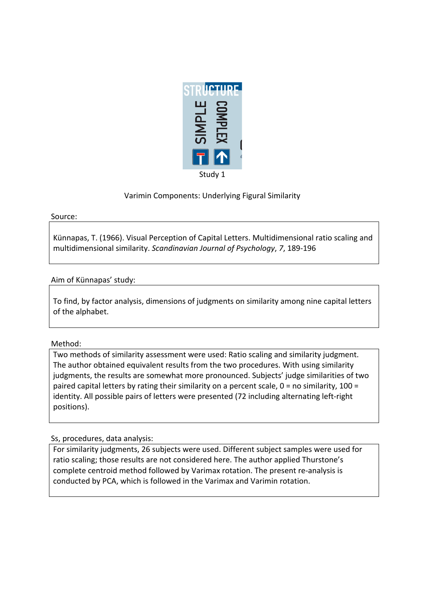

# Varimin Components: Underlying Figural Similarity

#### Source:

Künnapas, T. (1966). Visual Perception of Capital Letters. Multidimensional ratio scaling and multidimensional similarity. *Scandinavian Journal of Psychology*, 7, 189-196

### Aim of Künnapas' study:

To find, by factor analysis, dimensions of judgments on similarity among nine capital letters of the alphabet.

### Method:

Two methods of similarity assessment were used: Ratio scaling and similarity judgment. The author obtained equivalent results from the two procedures. With using similarity judgments, the results are somewhat more pronounced. Subjects' judge similarities of two paired capital letters by rating their similarity on a percent scale,  $0 =$  no similarity, 100 = identity. All possible pairs of letters were presented (72 including alternating left-right positions).

## Ss, procedures, data analysis:

For similarity judgments, 26 subjects were used. Different subject samples were used for ratio scaling; those results are not considered here. The author applied Thurstone's complete centroid method followed by Varimax rotation. The present re-analysis is conducted by PCA, which is followed in the Varimax and Varimin rotation.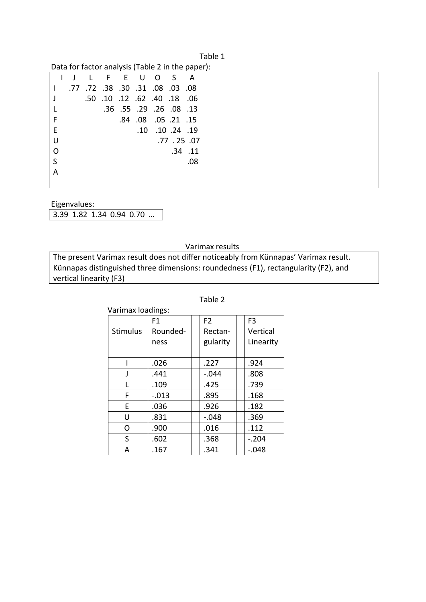| Table 1                                          |
|--------------------------------------------------|
| Data for factor analysis (Table 2 in the paper): |

|   |     |                                      |  |                         | $P$ and the ractor drivity sis (Table 2 in the paper). |
|---|-----|--------------------------------------|--|-------------------------|--------------------------------------------------------|
|   | ∴L. |                                      |  | F E U O S A             |                                                        |
|   |     | .77. 08. 08. 08. 30. 31. 08. 77. 77. |  |                         |                                                        |
|   |     | .50. 18. 40. 62. 12. 10. 50.         |  |                         |                                                        |
|   |     |                                      |  | .36 .55 .29 .26 .08 .13 |                                                        |
| F |     |                                      |  | .84 .08 .05 .21 .15     |                                                        |
| Е |     |                                      |  | .10 .10 .24 .19         |                                                        |
| U |     |                                      |  |                         | .77.25.07                                              |
| O |     |                                      |  |                         | $.34$ $.11$                                            |
| S |     |                                      |  |                         | .08                                                    |
| А |     |                                      |  |                         |                                                        |
|   |     |                                      |  |                         |                                                        |

Eigenvalues:

3.39 1.82 1.34 0.94 0.70 ...

#### Varimax results

The present Varimax result does not differ noticeably from Künnapas' Varimax result. Künnapas distinguished three dimensions: roundedness (F1), rectangularity (F2), and vertical linearity (F3)

| Varimax loadings: |          |  |                |  |                |  |
|-------------------|----------|--|----------------|--|----------------|--|
|                   | F1       |  | F <sub>2</sub> |  | F <sub>3</sub> |  |
| <b>Stimulus</b>   | Rounded- |  | Rectan-        |  | Vertical       |  |
|                   | ness     |  | gularity       |  | Linearity      |  |
|                   |          |  |                |  |                |  |
|                   | .026     |  | .227           |  | .924           |  |
| J                 | .441     |  | $-.044$        |  | .808           |  |
| L                 | .109     |  | .425           |  | .739           |  |
| F                 | $-.013$  |  | .895           |  | .168           |  |
| F                 | .036     |  | .926           |  | .182           |  |
| U                 | .831     |  | $-.048$        |  | .369           |  |
| Ω                 | .900     |  | .016           |  | .112           |  |
| S                 | .602     |  | .368           |  | $-.204$        |  |
| А                 | .167     |  | .341           |  | $-.048$        |  |

#### Table 2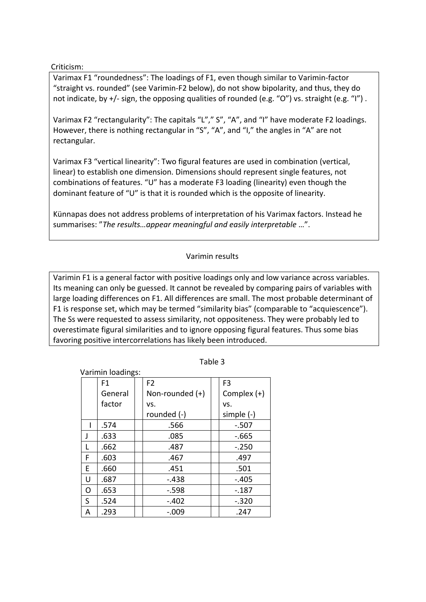### Criticism:

Varimax F1 "roundedness": The loadings of F1, even though similar to Varimin-factor "straight vs. rounded" (see Varimin-F2 below), do not show bipolarity, and thus, they do not indicate, by  $+/-$  sign, the opposing qualities of rounded (e.g. "O") vs. straight (e.g. "I").

Varimax F2 "rectangularity": The capitals "L"," S", "A", and "I" have moderate F2 loadings. However, there is nothing rectangular in "S", "A", and "I," the angles in "A" are not rectangular.

Varimax F3 "vertical linearity": Two figural features are used in combination (vertical, linear) to establish one dimension. Dimensions should represent single features, not combinations of features. "U" has a moderate F3 loading (linearity) even though the dominant feature of "U" is that it is rounded which is the opposite of linearity.

Künnapas does not address problems of interpretation of his Varimax factors. Instead he summarises: "The results...appear meaningful and easily interpretable ...".

## Varimin results

Varimin F1 is a general factor with positive loadings only and low variance across variables. Its meaning can only be guessed. It cannot be revealed by comparing pairs of variables with large loading differences on F1. All differences are small. The most probable determinant of F1 is response set, which may be termed "similarity bias" (comparable to "acquiescence"). The Ss were requested to assess similarity, not oppositeness. They were probably led to overestimate figural similarities and to ignore opposing figural features. Thus some bias favoring positive intercorrelations has likely been introduced.

| Varimin loadings: |         |  |                   |  |                |
|-------------------|---------|--|-------------------|--|----------------|
|                   | F1      |  | F <sub>2</sub>    |  | F <sub>3</sub> |
|                   | General |  | Non-rounded $(+)$ |  | Complex $(+)$  |
|                   | factor  |  | VS.               |  | VS.            |
|                   |         |  | rounded (-)       |  | simple (-)     |
|                   | .574    |  | .566              |  | $-.507$        |
| J                 | .633    |  | .085              |  | $-665$         |
|                   | .662    |  | .487              |  | $-.250$        |
| F                 | .603    |  | .467              |  | .497           |
| E                 | .660    |  | .451              |  | .501           |
| U                 | .687    |  | $-438$            |  | $-.405$        |
| Ω                 | .653    |  | $-0.598$          |  | $-187$         |
| S                 | .524    |  | $-.402$           |  | $-.320$        |
| Α                 | .293    |  | $-.009$           |  | .247           |